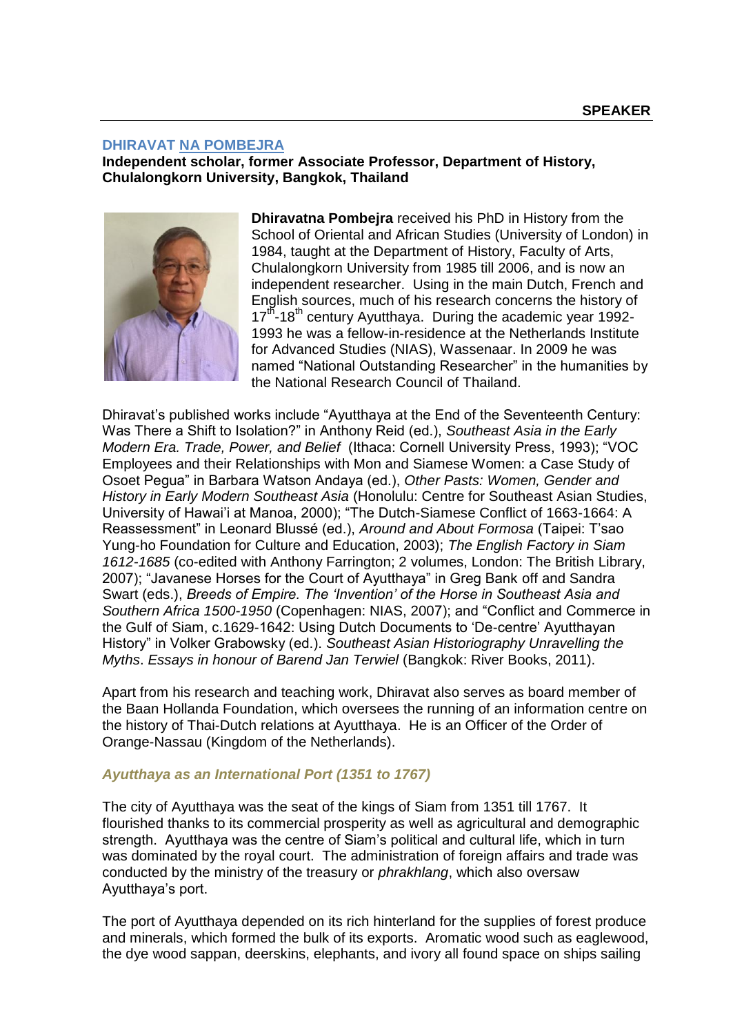## **DHIRAVAT NA POMBEJRA**

**Independent scholar, former Associate Professor, Department of History, Chulalongkorn University, Bangkok, Thailand**



**Dhiravatna Pombejra** received his PhD in History from the School of Oriental and African Studies (University of London) in 1984, taught at the Department of History, Faculty of Arts, Chulalongkorn University from 1985 till 2006, and is now an independent researcher. Using in the main Dutch, French and English sources, much of his research concerns the history of 17<sup>th</sup>-18<sup>th</sup> century Ayutthaya. During the academic year 1992-1993 he was a fellow-in-residence at the Netherlands Institute for Advanced Studies (NIAS), Wassenaar. In 2009 he was named "National Outstanding Researcher" in the humanities by the National Research Council of Thailand.

Dhiravat's published works include "Ayutthaya at the End of the Seventeenth Century: Was There a Shift to Isolation?" in Anthony Reid (ed.), *Southeast Asia in the Early Modern Era. Trade, Power, and Belief* (Ithaca: Cornell University Press, 1993); "VOC Employees and their Relationships with Mon and Siamese Women: a Case Study of Osoet Pegua‖ in Barbara Watson Andaya (ed.), *Other Pasts: Women, Gender and History in Early Modern Southeast Asia* (Honolulu: Centre for Southeast Asian Studies, University of Hawai'i at Manoa, 2000); "The Dutch-Siamese Conflict of 1663-1664: A Reassessment‖ in Leonard Blussé (ed.), *Around and About Formosa* (Taipei: T'sao Yung-ho Foundation for Culture and Education, 2003); *The English Factory in Siam 1612-1685* (co-edited with Anthony Farrington; 2 volumes, London: The British Library, 2007); "Javanese Horses for the Court of Ayutthaya" in Greg Bank off and Sandra Swart (eds.), *Breeds of Empire. The 'Invention' of the Horse in Southeast Asia and*  Southern Africa 1500-1950 (Copenhagen: NIAS, 2007); and "Conflict and Commerce in the Gulf of Siam, c.1629-1642: Using Dutch Documents to 'De-centre' Ayutthayan History‖ in Volker Grabowsky (ed.). *Southeast Asian Historiography Unravelling the Myths*. *Essays in honour of Barend Jan Terwiel* (Bangkok: River Books, 2011).

Apart from his research and teaching work, Dhiravat also serves as board member of the Baan Hollanda Foundation, which oversees the running of an information centre on the history of Thai-Dutch relations at Ayutthaya. He is an Officer of the Order of Orange-Nassau (Kingdom of the Netherlands).

## *Ayutthaya as an International Port (1351 to 1767)*

The city of Ayutthaya was the seat of the kings of Siam from 1351 till 1767. It flourished thanks to its commercial prosperity as well as agricultural and demographic strength. Ayutthaya was the centre of Siam's political and cultural life, which in turn was dominated by the royal court. The administration of foreign affairs and trade was conducted by the ministry of the treasury or *phrakhlang*, which also oversaw Ayutthaya's port.

The port of Ayutthaya depended on its rich hinterland for the supplies of forest produce and minerals, which formed the bulk of its exports. Aromatic wood such as eaglewood, the dye wood sappan, deerskins, elephants, and ivory all found space on ships sailing